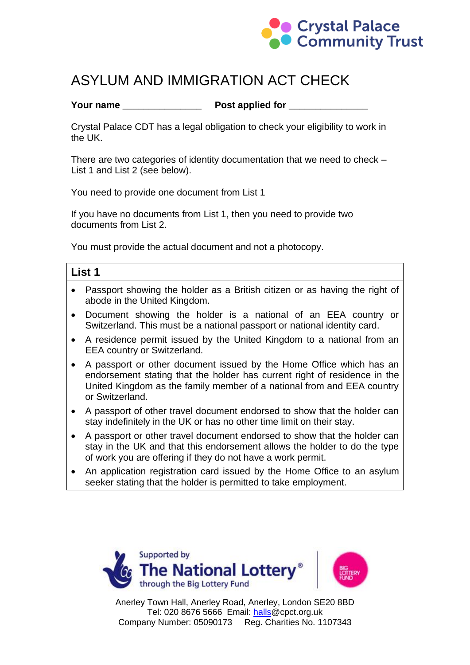

# ASYLUM AND IMMIGRATION ACT CHECK

#### **Your name \_\_\_\_\_\_\_\_\_\_\_\_\_\_\_ Post applied for \_\_\_\_\_\_\_\_\_\_\_\_\_\_\_**

Crystal Palace CDT has a legal obligation to check your eligibility to work in the UK.

There are two categories of identity documentation that we need to check – List 1 and List 2 (see below).

You need to provide one document from List 1

If you have no documents from List 1, then you need to provide two documents from List 2.

You must provide the actual document and not a photocopy.

| List 1 |                                                                                                                                              |
|--------|----------------------------------------------------------------------------------------------------------------------------------------------|
|        | • Passport showing the holder as a British citizen or as having the right of<br>abode in the United Kingdom.                                 |
|        | • Document showing the holder is a national of an EEA country or<br>Switzerland. This must be a national passport or national identity card. |
|        | $\bullet$ A residence permit issued by the United Kingdom to a national from an                                                              |

- residence permit issued by the United Kingdom to a national from an EEA country or Switzerland.
- A passport or other document issued by the Home Office which has an endorsement stating that the holder has current right of residence in the United Kingdom as the family member of a national from and EEA country or Switzerland.
- A passport of other travel document endorsed to show that the holder can stay indefinitely in the UK or has no other time limit on their stay.
- A passport or other travel document endorsed to show that the holder can stay in the UK and that this endorsement allows the holder to do the type of work you are offering if they do not have a work permit.
- An application registration card issued by the Home Office to an asylum seeker stating that the holder is permitted to take employment.



Anerley Town Hall, Anerley Road, Anerley, London SE20 8BD Tel: 020 8676 5666 Email: halls@cpct.org.uk Company Number: 05090173 Reg. Charities No. 1107343